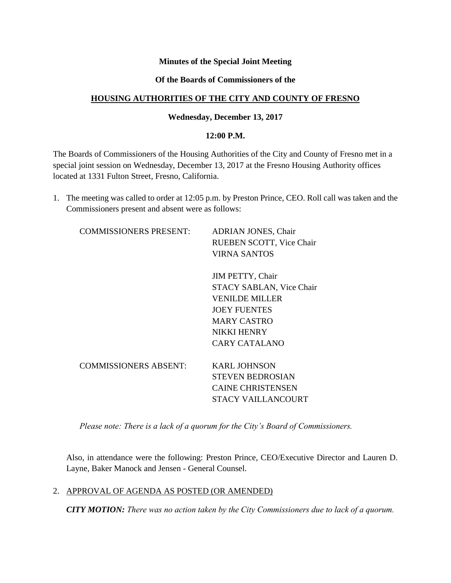## **Minutes of the Special Joint Meeting**

### **Of the Boards of Commissioners of the**

# **HOUSING AUTHORITIES OF THE CITY AND COUNTY OF FRESNO**

### **Wednesday, December 13, 2017**

### **12:00 P.M.**

The Boards of Commissioners of the Housing Authorities of the City and County of Fresno met in a special joint session on Wednesday, December 13, 2017 at the Fresno Housing Authority offices located at 1331 Fulton Street, Fresno, California.

1. The meeting was called to order at 12:05 p.m. by Preston Prince, CEO. Roll call was taken and the Commissioners present and absent were as follows:

| <b>COMMISSIONERS PRESENT:</b> | <b>ADRIAN JONES, Chair</b>      |
|-------------------------------|---------------------------------|
|                               | <b>RUEBEN SCOTT, Vice Chair</b> |
|                               | <b>VIRNA SANTOS</b>             |
|                               |                                 |

JIM PETTY, Chair STACY SABLAN, Vice Chair VENILDE MILLER JOEY FUENTES MARY CASTRO NIKKI HENRY CARY CATALANO

| COMMISSIONERS ABSENT <sup>.</sup> | KARL JOHNSON             |
|-----------------------------------|--------------------------|
|                                   | <b>STEVEN BEDROSIAN</b>  |
|                                   | <b>CAINE CHRISTENSEN</b> |
|                                   | STACY VAILLANCOURT       |
|                                   |                          |

*Please note: There is a lack of a quorum for the City's Board of Commissioners.* 

Also, in attendance were the following: Preston Prince, CEO/Executive Director and Lauren D. Layne, Baker Manock and Jensen - General Counsel.

# 2. APPROVAL OF AGENDA AS POSTED (OR AMENDED)

*CITY MOTION: There was no action taken by the City Commissioners due to lack of a quorum.*